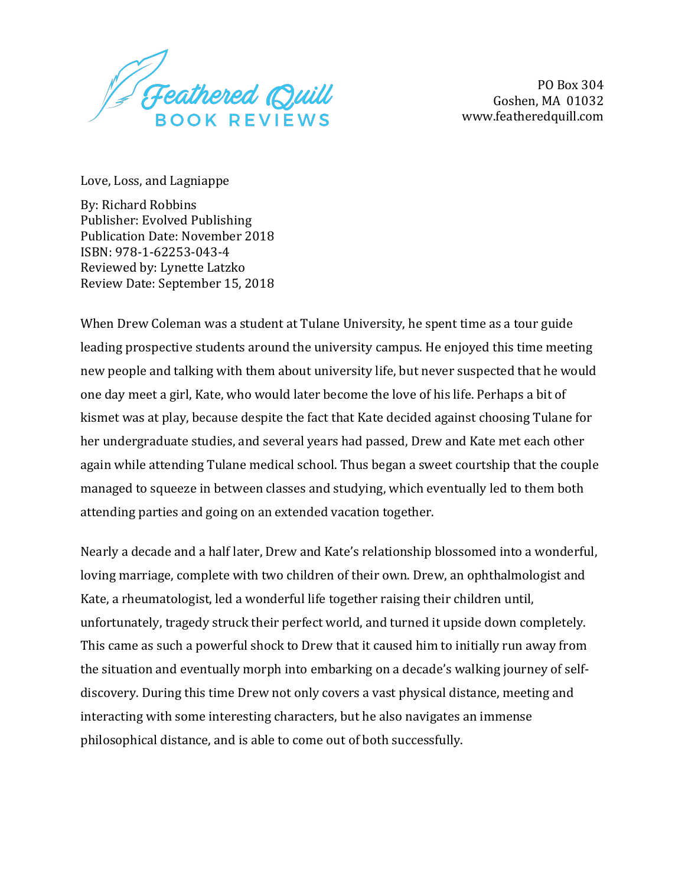Feathered Quill **BOOK REVIEWS** 

PO Box 304 Goshen, MA 01032 www.featheredquill.com

Love, Loss, and Lagniappe

By: Richard Robbins Publisher: Evolved Publishing Publication Date: November 2018 ISBN: 978-1-62253-043-4 Reviewed by: Lynette Latzko Review Date: September 15, 2018

When Drew Coleman was a student at Tulane University, he spent time as a tour guide leading prospective students around the university campus. He enjoyed this time meeting new people and talking with them about university life, but never suspected that he would one day meet a girl, Kate, who would later become the love of his life. Perhaps a bit of kismet was at play, because despite the fact that Kate decided against choosing Tulane for her undergraduate studies, and several years had passed, Drew and Kate met each other again while attending Tulane medical school. Thus began a sweet courtship that the couple managed to squeeze in between classes and studying, which eventually led to them both attending parties and going on an extended vacation together.

Nearly a decade and a half later, Drew and Kate's relationship blossomed into a wonderful, loving marriage, complete with two children of their own. Drew, an ophthalmologist and Kate, a rheumatologist, led a wonderful life together raising their children until, unfortunately, tragedy struck their perfect world, and turned it upside down completely. This came as such a powerful shock to Drew that it caused him to initially run away from the situation and eventually morph into embarking on a decade's walking journey of selfdiscovery. During this time Drew not only covers a vast physical distance, meeting and interacting with some interesting characters, but he also navigates an immense philosophical distance, and is able to come out of both successfully.